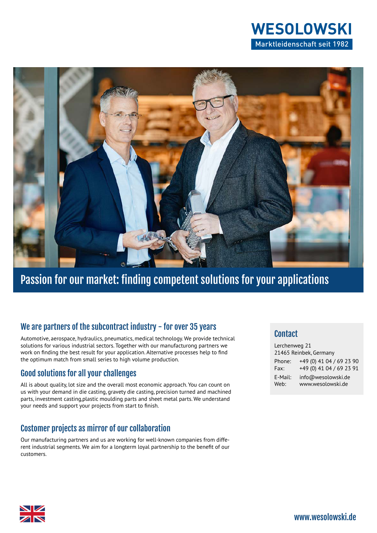



# Passion for our market: finding competent solutions for your applications

#### We are partners of the subcontract industry - for over 35 years

Automotive, aerospace, hydraulics, pneumatics, medical technology. We provide technical solutions for various industrial sectors. Together with our manufacturong partners we work on finding the best result for your application. Alternative processes help to find the optimum match from small series to high volume production.

## Good solutions for all your challenges

All is about quality, lot size and the overall most economic approach. You can count on us with your demand in die casting, gravety die casting, precision turned and machined parts, investment casting,plastic moulding parts and sheet metal parts. We understand your needs and support your projects from start to finish.

## Costomer projects as mirror of our collaboration

Our manufacturing partners and us are working for well-known companies from different industrial segments. We aim for a longterm loyal partnership to the benefit of our customers.

#### **Contact**

| Lerchenweg 21<br>21465 Reinbek, Germany |                          |
|-----------------------------------------|--------------------------|
| Phone:                                  | +49 (0) 41 04 / 69 23 90 |
| Fax:                                    | +49 (0) 41 04 / 69 23 91 |
| E-Mail:                                 | info@wesolowski.de       |
| Web:                                    | www.wesolowski.de        |